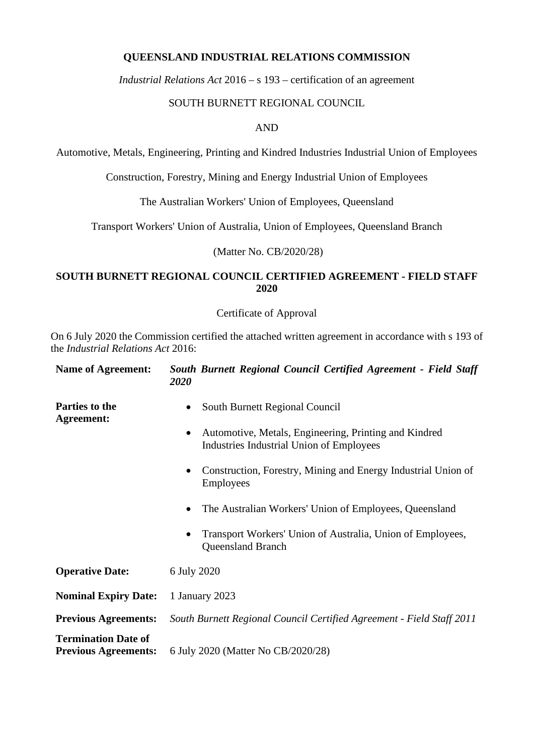### **QUEENSLAND INDUSTRIAL RELATIONS COMMISSION**

*Industrial Relations Act* 2016 *–* s 193 – certification of an agreement

#### SOUTH BURNETT REGIONAL COUNCIL

AND

Automotive, Metals, Engineering, Printing and Kindred Industries Industrial Union of Employees

Construction, Forestry, Mining and Energy Industrial Union of Employees

The Australian Workers' Union of Employees, Queensland

Transport Workers' Union of Australia, Union of Employees, Queensland Branch

(Matter No. CB/2020/28)

#### **SOUTH BURNETT REGIONAL COUNCIL CERTIFIED AGREEMENT - FIELD STAFF 2020**

Certificate of Approval

On 6 July 2020 the Commission certified the attached written agreement in accordance with s 193 of the *Industrial Relations Act* 2016:

| <b>Name of Agreement:</b>                                 | South Burnett Regional Council Certified Agreement - Field Staff<br><b>2020</b>                   |  |  |
|-----------------------------------------------------------|---------------------------------------------------------------------------------------------------|--|--|
| Parties to the<br><b>Agreement:</b>                       | South Burnett Regional Council                                                                    |  |  |
|                                                           | Automotive, Metals, Engineering, Printing and Kindred<br>Industries Industrial Union of Employees |  |  |
|                                                           | Construction, Forestry, Mining and Energy Industrial Union of<br>٠<br><b>Employees</b>            |  |  |
|                                                           | The Australian Workers' Union of Employees, Queensland<br>$\bullet$                               |  |  |
|                                                           | Transport Workers' Union of Australia, Union of Employees,<br><b>Queensland Branch</b>            |  |  |
| <b>Operative Date:</b>                                    | 6 July 2020                                                                                       |  |  |
| <b>Nominal Expiry Date:</b>                               | 1 January 2023                                                                                    |  |  |
| <b>Previous Agreements:</b>                               | South Burnett Regional Council Certified Agreement - Field Staff 2011                             |  |  |
| <b>Termination Date of</b><br><b>Previous Agreements:</b> | 6 July 2020 (Matter No CB/2020/28)                                                                |  |  |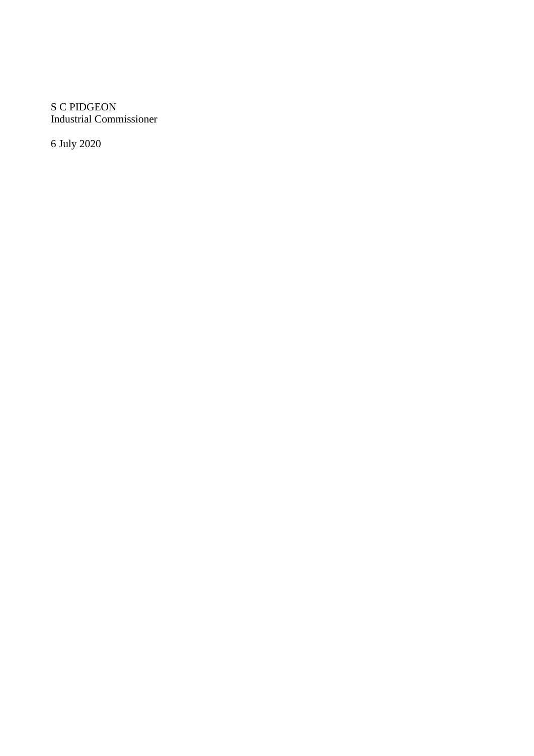S C PIDGEON Industrial Commissioner

6 July 2020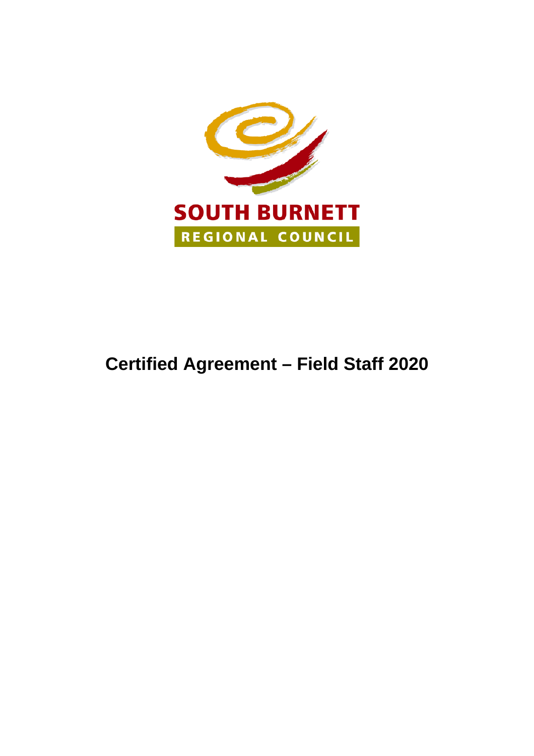

# **Certified Agreement – Field Staff 2020**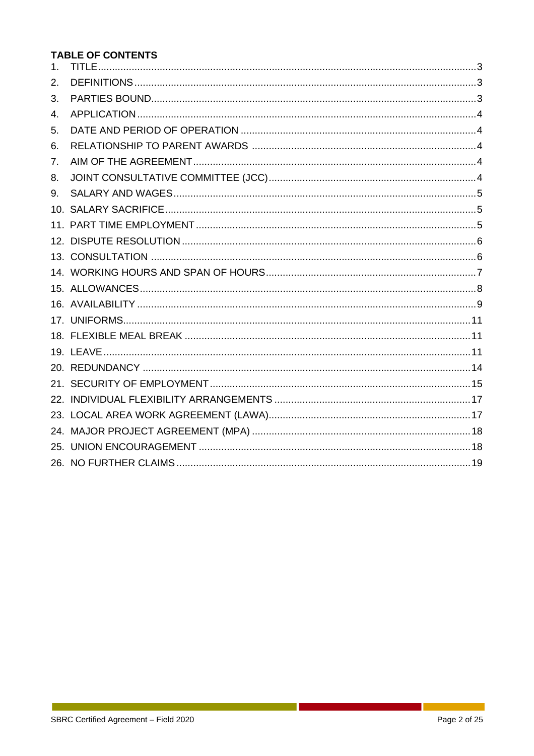# **TABLE OF CONTENTS**

| 1 <sub>1</sub> |  |
|----------------|--|
| 2.             |  |
| 3.             |  |
| 4.             |  |
| 5.             |  |
| 6.             |  |
| 7.             |  |
| 8.             |  |
| 9.             |  |
|                |  |
|                |  |
|                |  |
|                |  |
|                |  |
|                |  |
|                |  |
|                |  |
|                |  |
|                |  |
|                |  |
|                |  |
|                |  |
|                |  |
|                |  |
|                |  |
|                |  |

 $\mathbb{R}^2$ 

a kara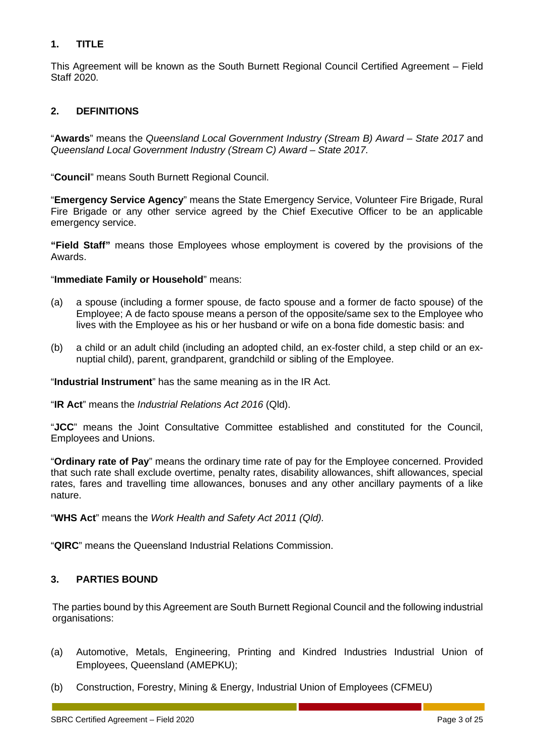#### <span id="page-4-0"></span>**1. TITLE**

This Agreement will be known as the South Burnett Regional Council Certified Agreement – Field Staff 2020.

#### <span id="page-4-1"></span>**2. DEFINITIONS**

"**Awards**" means the *Queensland Local Government Industry (Stream B) Award – State 2017* and *Queensland Local Government Industry (Stream C) Award – State 2017.* 

"**Council**" means South Burnett Regional Council.

"**Emergency Service Agency**" means the State Emergency Service, Volunteer Fire Brigade, Rural Fire Brigade or any other service agreed by the Chief Executive Officer to be an applicable emergency service.

**"Field Staff"** means those Employees whose employment is covered by the provisions of the Awards.

#### "**Immediate Family or Household**" means:

- (a) a spouse (including a former spouse, de facto spouse and a former de facto spouse) of the Employee; A de facto spouse means a person of the opposite/same sex to the Employee who lives with the Employee as his or her husband or wife on a bona fide domestic basis: and
- (b) a child or an adult child (including an adopted child, an ex-foster child, a step child or an exnuptial child), parent, grandparent, grandchild or sibling of the Employee.

"**Industrial Instrument**" has the same meaning as in the IR Act.

"**IR Act**" means the *Industrial Relations Act 2016* (Qld).

"**JCC**" means the Joint Consultative Committee established and constituted for the Council, Employees and Unions.

"**Ordinary rate of Pay**" means the ordinary time rate of pay for the Employee concerned. Provided that such rate shall exclude overtime, penalty rates, disability allowances, shift allowances, special rates, fares and travelling time allowances, bonuses and any other ancillary payments of a like nature.

"**WHS Act**" means the *Work Health and Safety Act 2011 (Qld).*

"**QIRC**" means the Queensland Industrial Relations Commission.

#### <span id="page-4-2"></span>**3. PARTIES BOUND**

The parties bound by this Agreement are South Burnett Regional Council and the following industrial organisations:

- (a) Automotive, Metals, Engineering, Printing and Kindred Industries Industrial Union of Employees, Queensland (AMEPKU);
- (b) Construction, Forestry, Mining & Energy, Industrial Union of Employees (CFMEU)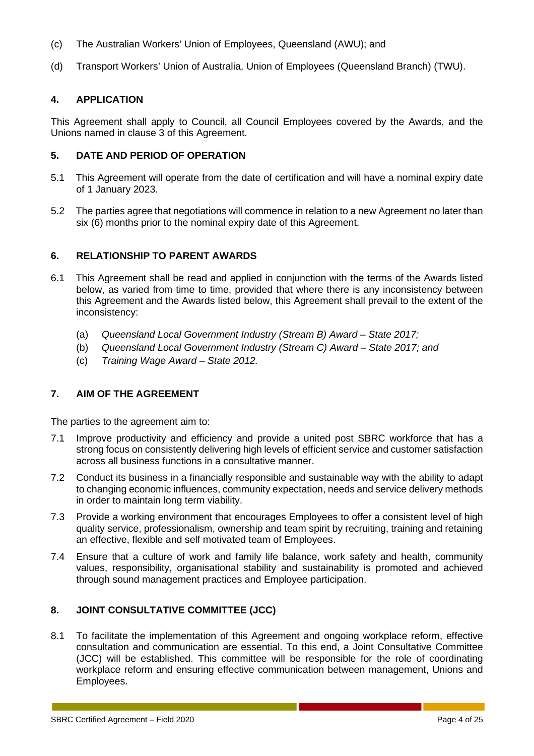- (c) The Australian Workers' Union of Employees, Queensland (AWU); and
- (d) Transport Workers' Union of Australia, Union of Employees (Queensland Branch) (TWU).

#### <span id="page-5-0"></span>**4. APPLICATION**

This Agreement shall apply to Council, all Council Employees covered by the Awards, and the Unions named in clause 3 of this Agreement.

#### <span id="page-5-1"></span>**5. DATE AND PERIOD OF OPERATION**

- 5.1 This Agreement will operate from the date of certification and will have a nominal expiry date of 1 January 2023.
- 5.2 The parties agree that negotiations will commence in relation to a new Agreement no later than six (6) months prior to the nominal expiry date of this Agreement.

#### <span id="page-5-2"></span>**6. RELATIONSHIP TO PARENT AWARDS**

- 6.1 This Agreement shall be read and applied in conjunction with the terms of the Awards listed below, as varied from time to time, provided that where there is any inconsistency between this Agreement and the Awards listed below, this Agreement shall prevail to the extent of the inconsistency:
	- (a) *Queensland Local Government Industry (Stream B) Award – State 2017;*
	- (b) *Queensland Local Government Industry (Stream C) Award – State 2017; and*
	- (c) *Training Wage Award – State 2012.*

#### <span id="page-5-3"></span>**7. AIM OF THE AGREEMENT**

The parties to the agreement aim to:

- 7.1 Improve productivity and efficiency and provide a united post SBRC workforce that has a strong focus on consistently delivering high levels of efficient service and customer satisfaction across all business functions in a consultative manner.
- 7.2 Conduct its business in a financially responsible and sustainable way with the ability to adapt to changing economic influences, community expectation, needs and service delivery methods in order to maintain long term viability.
- 7.3 Provide a working environment that encourages Employees to offer a consistent level of high quality service, professionalism, ownership and team spirit by recruiting, training and retaining an effective, flexible and self motivated team of Employees.
- 7.4 Ensure that a culture of work and family life balance, work safety and health, community values, responsibility, organisational stability and sustainability is promoted and achieved through sound management practices and Employee participation.

#### <span id="page-5-4"></span>**8. JOINT CONSULTATIVE COMMITTEE (JCC)**

8.1 To facilitate the implementation of this Agreement and ongoing workplace reform, effective consultation and communication are essential. To this end, a Joint Consultative Committee (JCC) will be established. This committee will be responsible for the role of coordinating workplace reform and ensuring effective communication between management, Unions and Employees.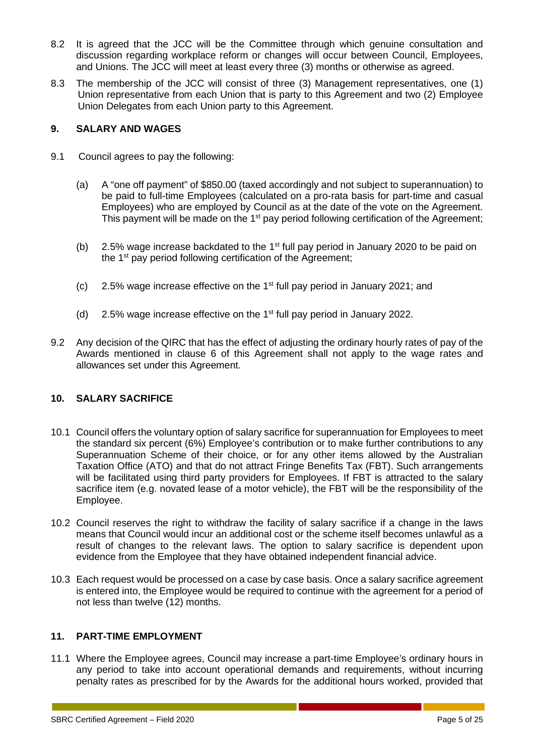- 8.2 It is agreed that the JCC will be the Committee through which genuine consultation and discussion regarding workplace reform or changes will occur between Council, Employees, and Unions. The JCC will meet at least every three (3) months or otherwise as agreed.
- 8.3 The membership of the JCC will consist of three (3) Management representatives, one (1) Union representative from each Union that is party to this Agreement and two (2) Employee Union Delegates from each Union party to this Agreement.

#### <span id="page-6-0"></span>**9. SALARY AND WAGES**

- 9.1 Council agrees to pay the following:
	- (a) A "one off payment" of \$850.00 (taxed accordingly and not subject to superannuation) to be paid to full-time Employees (calculated on a pro-rata basis for part-time and casual Employees) who are employed by Council as at the date of the vote on the Agreement. This payment will be made on the  $1<sup>st</sup>$  pay period following certification of the Agreement;
	- (b) 2.5% wage increase backdated to the  $1<sup>st</sup>$  full pay period in January 2020 to be paid on the  $1<sup>st</sup>$  pay period following certification of the Agreement;
	- (c) 2.5% wage increase effective on the 1st full pay period in January 2021; and
	- (d) 2.5% wage increase effective on the  $1<sup>st</sup>$  full pay period in January 2022.
- 9.2 Any decision of the QIRC that has the effect of adjusting the ordinary hourly rates of pay of the Awards mentioned in clause 6 of this Agreement shall not apply to the wage rates and allowances set under this Agreement.

#### <span id="page-6-1"></span>**10. SALARY SACRIFICE**

- 10.1 Council offers the voluntary option of salary sacrifice for superannuation for Employees to meet the standard six percent (6%) Employee's contribution or to make further contributions to any Superannuation Scheme of their choice, or for any other items allowed by the Australian Taxation Office (ATO) and that do not attract Fringe Benefits Tax (FBT). Such arrangements will be facilitated using third party providers for Employees. If FBT is attracted to the salary sacrifice item (e.g. novated lease of a motor vehicle), the FBT will be the responsibility of the Employee.
- 10.2 Council reserves the right to withdraw the facility of salary sacrifice if a change in the laws means that Council would incur an additional cost or the scheme itself becomes unlawful as a result of changes to the relevant laws. The option to salary sacrifice is dependent upon evidence from the Employee that they have obtained independent financial advice.
- 10.3 Each request would be processed on a case by case basis. Once a salary sacrifice agreement is entered into, the Employee would be required to continue with the agreement for a period of not less than twelve (12) months.

#### <span id="page-6-2"></span>**11. PART-TIME EMPLOYMENT**

11.1 Where the Employee agrees, Council may increase a part-time Employee's ordinary hours in any period to take into account operational demands and requirements, without incurring penalty rates as prescribed for by the Awards for the additional hours worked, provided that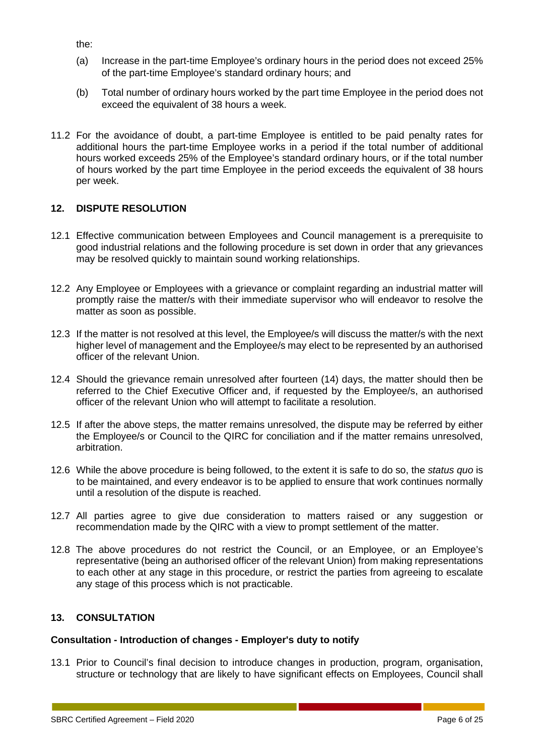the:

- (a) Increase in the part-time Employee's ordinary hours in the period does not exceed 25% of the part-time Employee's standard ordinary hours; and
- (b) Total number of ordinary hours worked by the part time Employee in the period does not exceed the equivalent of 38 hours a week.
- 11.2 For the avoidance of doubt, a part-time Employee is entitled to be paid penalty rates for additional hours the part-time Employee works in a period if the total number of additional hours worked exceeds 25% of the Employee's standard ordinary hours, or if the total number of hours worked by the part time Employee in the period exceeds the equivalent of 38 hours per week.

#### <span id="page-7-0"></span>**12. DISPUTE RESOLUTION**

- 12.1 Effective communication between Employees and Council management is a prerequisite to good industrial relations and the following procedure is set down in order that any grievances may be resolved quickly to maintain sound working relationships.
- 12.2 Any Employee or Employees with a grievance or complaint regarding an industrial matter will promptly raise the matter/s with their immediate supervisor who will endeavor to resolve the matter as soon as possible.
- 12.3 If the matter is not resolved at this level, the Employee/s will discuss the matter/s with the next higher level of management and the Employee/s may elect to be represented by an authorised officer of the relevant Union.
- 12.4 Should the grievance remain unresolved after fourteen (14) days, the matter should then be referred to the Chief Executive Officer and, if requested by the Employee/s, an authorised officer of the relevant Union who will attempt to facilitate a resolution.
- 12.5 If after the above steps, the matter remains unresolved, the dispute may be referred by either the Employee/s or Council to the QIRC for conciliation and if the matter remains unresolved, arbitration.
- 12.6 While the above procedure is being followed, to the extent it is safe to do so, the *status quo* is to be maintained, and every endeavor is to be applied to ensure that work continues normally until a resolution of the dispute is reached.
- 12.7 All parties agree to give due consideration to matters raised or any suggestion or recommendation made by the QIRC with a view to prompt settlement of the matter.
- 12.8 The above procedures do not restrict the Council, or an Employee, or an Employee's representative (being an authorised officer of the relevant Union) from making representations to each other at any stage in this procedure, or restrict the parties from agreeing to escalate any stage of this process which is not practicable.

#### <span id="page-7-1"></span>**13. CONSULTATION**

#### **Consultation - Introduction of changes - Employer's duty to notify**

13.1 Prior to Council's final decision to introduce changes in production, program, organisation, structure or technology that are likely to have significant effects on Employees, Council shall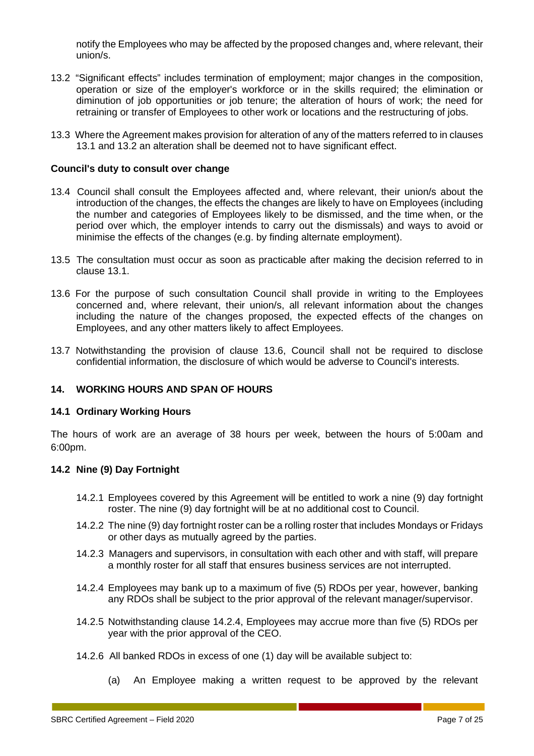notify the Employees who may be affected by the proposed changes and, where relevant, their union/s.

- 13.2 "Significant effects" includes termination of employment; major changes in the composition, operation or size of the employer's workforce or in the skills required; the elimination or diminution of job opportunities or job tenure; the alteration of hours of work; the need for retraining or transfer of Employees to other work or locations and the restructuring of jobs.
- 13.3 Where the Agreement makes provision for alteration of any of the matters referred to in clauses 13.1 and 13.2 an alteration shall be deemed not to have significant effect.

#### **Council's duty to consult over change**

- 13.4 Council shall consult the Employees affected and, where relevant, their union/s about the introduction of the changes, the effects the changes are likely to have on Employees (including the number and categories of Employees likely to be dismissed, and the time when, or the period over which, the employer intends to carry out the dismissals) and ways to avoid or minimise the effects of the changes (e.g. by finding alternate employment).
- 13.5 The consultation must occur as soon as practicable after making the decision referred to in clause 13.1.
- 13.6 For the purpose of such consultation Council shall provide in writing to the Employees concerned and, where relevant, their union/s, all relevant information about the changes including the nature of the changes proposed, the expected effects of the changes on Employees, and any other matters likely to affect Employees.
- 13.7 Notwithstanding the provision of clause 13.6, Council shall not be required to disclose confidential information, the disclosure of which would be adverse to Council's interests.

#### <span id="page-8-0"></span>**14. WORKING HOURS AND SPAN OF HOURS**

#### **14.1 Ordinary Working Hours**

The hours of work are an average of 38 hours per week, between the hours of 5:00am and 6:00pm.

#### **14.2 Nine (9) Day Fortnight**

- 14.2.1 Employees covered by this Agreement will be entitled to work a nine (9) day fortnight roster. The nine (9) day fortnight will be at no additional cost to Council.
- 14.2.2 The nine (9) day fortnight roster can be a rolling roster that includes Mondays or Fridays or other days as mutually agreed by the parties.
- 14.2.3 Managers and supervisors, in consultation with each other and with staff, will prepare a monthly roster for all staff that ensures business services are not interrupted.
- 14.2.4 Employees may bank up to a maximum of five (5) RDOs per year, however, banking any RDOs shall be subject to the prior approval of the relevant manager/supervisor.
- 14.2.5 Notwithstanding clause 14.2.4, Employees may accrue more than five (5) RDOs per year with the prior approval of the CEO.
- 14.2.6 All banked RDOs in excess of one (1) day will be available subject to:
	- (a) An Employee making a written request to be approved by the relevant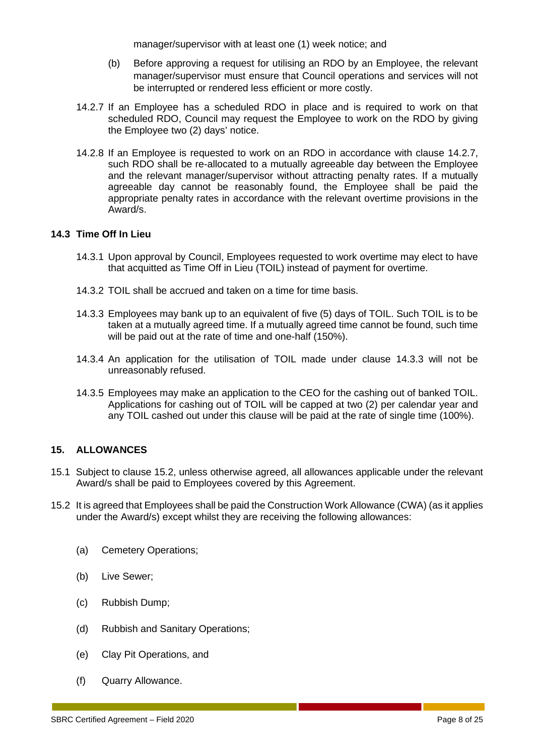manager/supervisor with at least one (1) week notice; and

- (b) Before approving a request for utilising an RDO by an Employee, the relevant manager/supervisor must ensure that Council operations and services will not be interrupted or rendered less efficient or more costly.
- 14.2.7 If an Employee has a scheduled RDO in place and is required to work on that scheduled RDO, Council may request the Employee to work on the RDO by giving the Employee two (2) days' notice.
- 14.2.8 If an Employee is requested to work on an RDO in accordance with clause 14.2.7, such RDO shall be re-allocated to a mutually agreeable day between the Employee and the relevant manager/supervisor without attracting penalty rates. If a mutually agreeable day cannot be reasonably found, the Employee shall be paid the appropriate penalty rates in accordance with the relevant overtime provisions in the Award/s.

#### **14.3 Time Off In Lieu**

- 14.3.1 Upon approval by Council, Employees requested to work overtime may elect to have that acquitted as Time Off in Lieu (TOIL) instead of payment for overtime.
- 14.3.2 TOIL shall be accrued and taken on a time for time basis.
- 14.3.3 Employees may bank up to an equivalent of five (5) days of TOIL. Such TOIL is to be taken at a mutually agreed time. If a mutually agreed time cannot be found, such time will be paid out at the rate of time and one-half (150%).
- 14.3.4 An application for the utilisation of TOIL made under clause 14.3.3 will not be unreasonably refused.
- 14.3.5 Employees may make an application to the CEO for the cashing out of banked TOIL. Applications for cashing out of TOIL will be capped at two (2) per calendar year and any TOIL cashed out under this clause will be paid at the rate of single time (100%).

#### <span id="page-9-0"></span>**15. ALLOWANCES**

- 15.1 Subject to clause 15.2, unless otherwise agreed, all allowances applicable under the relevant Award/s shall be paid to Employees covered by this Agreement.
- 15.2 It is agreed that Employees shall be paid the Construction Work Allowance (CWA) (as it applies under the Award/s) except whilst they are receiving the following allowances:
	- (a) Cemetery Operations;
	- (b) Live Sewer;
	- (c) Rubbish Dump;
	- (d) Rubbish and Sanitary Operations;
	- (e) Clay Pit Operations, and
	- (f) Quarry Allowance.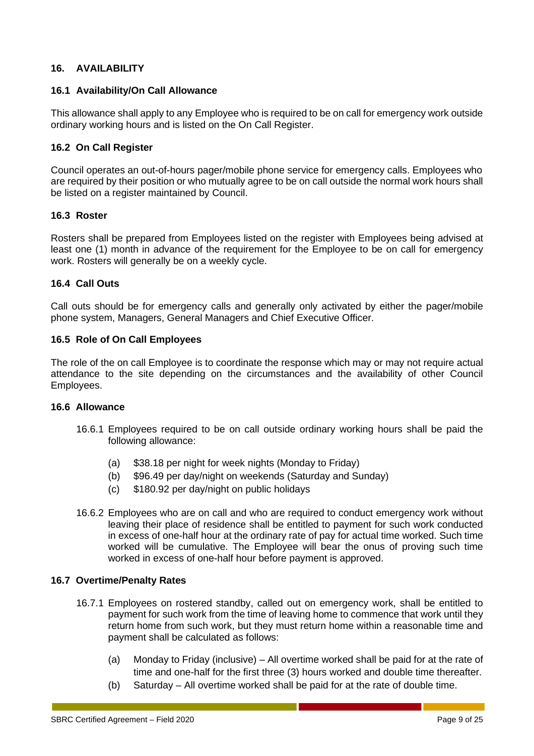#### <span id="page-10-0"></span>**16. AVAILABILITY**

#### **16.1 Availability/On Call Allowance**

This allowance shall apply to any Employee who is required to be on call for emergency work outside ordinary working hours and is listed on the On Call Register.

#### **16.2 On Call Register**

Council operates an out-of-hours pager/mobile phone service for emergency calls. Employees who are required by their position or who mutually agree to be on call outside the normal work hours shall be listed on a register maintained by Council.

#### **16.3 Roster**

Rosters shall be prepared from Employees listed on the register with Employees being advised at least one (1) month in advance of the requirement for the Employee to be on call for emergency work. Rosters will generally be on a weekly cycle.

#### **16.4 Call Outs**

Call outs should be for emergency calls and generally only activated by either the pager/mobile phone system, Managers, General Managers and Chief Executive Officer.

#### **16.5 Role of On Call Employees**

The role of the on call Employee is to coordinate the response which may or may not require actual attendance to the site depending on the circumstances and the availability of other Council Employees.

#### **16.6 Allowance**

- 16.6.1 Employees required to be on call outside ordinary working hours shall be paid the following allowance:
	- (a) \$38.18 per night for week nights (Monday to Friday)
	- (b) \$96.49 per day/night on weekends (Saturday and Sunday)
	- (c) \$180.92 per day/night on public holidays
- 16.6.2 Employees who are on call and who are required to conduct emergency work without leaving their place of residence shall be entitled to payment for such work conducted in excess of one-half hour at the ordinary rate of pay for actual time worked. Such time worked will be cumulative. The Employee will bear the onus of proving such time worked in excess of one-half hour before payment is approved.

#### **16.7 Overtime/Penalty Rates**

- 16.7.1 Employees on rostered standby, called out on emergency work, shall be entitled to payment for such work from the time of leaving home to commence that work until they return home from such work, but they must return home within a reasonable time and payment shall be calculated as follows:
	- (a) Monday to Friday (inclusive) All overtime worked shall be paid for at the rate of time and one-half for the first three (3) hours worked and double time thereafter.
	- (b) Saturday All overtime worked shall be paid for at the rate of double time.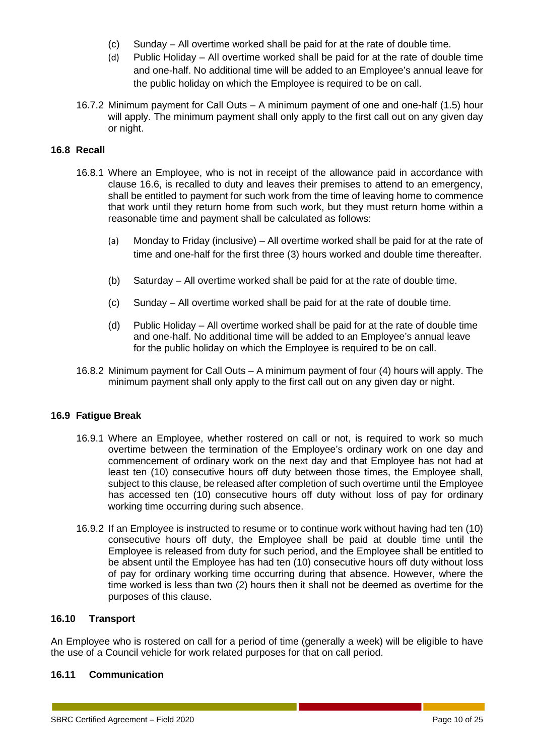- (c) Sunday All overtime worked shall be paid for at the rate of double time.
- (d) Public Holiday All overtime worked shall be paid for at the rate of double time and one-half. No additional time will be added to an Employee's annual leave for the public holiday on which the Employee is required to be on call.
- 16.7.2 Minimum payment for Call Outs A minimum payment of one and one-half (1.5) hour will apply. The minimum payment shall only apply to the first call out on any given day or night.

#### **16.8 Recall**

- 16.8.1 Where an Employee, who is not in receipt of the allowance paid in accordance with clause 16.6, is recalled to duty and leaves their premises to attend to an emergency, shall be entitled to payment for such work from the time of leaving home to commence that work until they return home from such work, but they must return home within a reasonable time and payment shall be calculated as follows:
	- (a) Monday to Friday (inclusive) All overtime worked shall be paid for at the rate of time and one-half for the first three (3) hours worked and double time thereafter.
	- (b) Saturday All overtime worked shall be paid for at the rate of double time.
	- (c) Sunday All overtime worked shall be paid for at the rate of double time.
	- (d) Public Holiday All overtime worked shall be paid for at the rate of double time and one-half. No additional time will be added to an Employee's annual leave for the public holiday on which the Employee is required to be on call.
- 16.8.2 Minimum payment for Call Outs A minimum payment of four (4) hours will apply. The minimum payment shall only apply to the first call out on any given day or night.

#### **16.9 Fatigue Break**

- 16.9.1 Where an Employee, whether rostered on call or not, is required to work so much overtime between the termination of the Employee's ordinary work on one day and commencement of ordinary work on the next day and that Employee has not had at least ten (10) consecutive hours off duty between those times, the Employee shall, subject to this clause, be released after completion of such overtime until the Employee has accessed ten (10) consecutive hours off duty without loss of pay for ordinary working time occurring during such absence.
- 16.9.2 If an Employee is instructed to resume or to continue work without having had ten (10) consecutive hours off duty, the Employee shall be paid at double time until the Employee is released from duty for such period, and the Employee shall be entitled to be absent until the Employee has had ten (10) consecutive hours off duty without loss of pay for ordinary working time occurring during that absence. However, where the time worked is less than two (2) hours then it shall not be deemed as overtime for the purposes of this clause.

#### **16.10 Transport**

An Employee who is rostered on call for a period of time (generally a week) will be eligible to have the use of a Council vehicle for work related purposes for that on call period.

#### **16.11 Communication**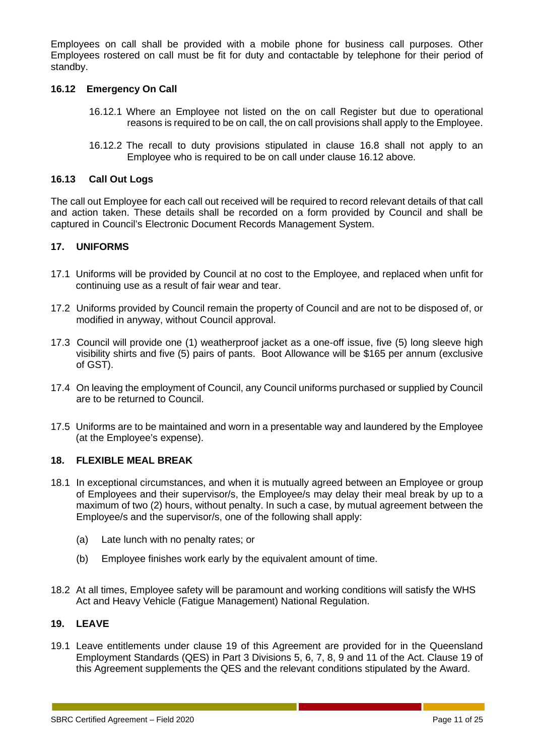Employees on call shall be provided with a mobile phone for business call purposes. Other Employees rostered on call must be fit for duty and contactable by telephone for their period of standby.

#### **16.12 Emergency On Call**

- 16.12.1 Where an Employee not listed on the on call Register but due to operational reasons is required to be on call, the on call provisions shall apply to the Employee.
- 16.12.2 The recall to duty provisions stipulated in clause 16.8 shall not apply to an Employee who is required to be on call under clause 16.12 above.

#### **16.13 Call Out Logs**

The call out Employee for each call out received will be required to record relevant details of that call and action taken. These details shall be recorded on a form provided by Council and shall be captured in Council's Electronic Document Records Management System.

#### <span id="page-12-0"></span>**17. UNIFORMS**

- 17.1 Uniforms will be provided by Council at no cost to the Employee, and replaced when unfit for continuing use as a result of fair wear and tear.
- 17.2 Uniforms provided by Council remain the property of Council and are not to be disposed of, or modified in anyway, without Council approval.
- 17.3 Council will provide one (1) weatherproof jacket as a one-off issue, five (5) long sleeve high visibility shirts and five (5) pairs of pants. Boot Allowance will be \$165 per annum (exclusive of GST).
- 17.4 On leaving the employment of Council, any Council uniforms purchased or supplied by Council are to be returned to Council.
- 17.5 Uniforms are to be maintained and worn in a presentable way and laundered by the Employee (at the Employee's expense).

#### <span id="page-12-1"></span>**18. FLEXIBLE MEAL BREAK**

- 18.1 In exceptional circumstances, and when it is mutually agreed between an Employee or group of Employees and their supervisor/s, the Employee/s may delay their meal break by up to a maximum of two (2) hours, without penalty. In such a case, by mutual agreement between the Employee/s and the supervisor/s, one of the following shall apply:
	- (a) Late lunch with no penalty rates; or
	- (b) Employee finishes work early by the equivalent amount of time.
- 18.2 At all times, Employee safety will be paramount and working conditions will satisfy the WHS Act and Heavy Vehicle (Fatigue Management) National Regulation.

#### <span id="page-12-2"></span>**19. LEAVE**

19.1 Leave entitlements under clause 19 of this Agreement are provided for in the Queensland Employment Standards (QES) in Part 3 Divisions 5, 6, 7, 8, 9 and 11 of the Act. Clause 19 of this Agreement supplements the QES and the relevant conditions stipulated by the Award.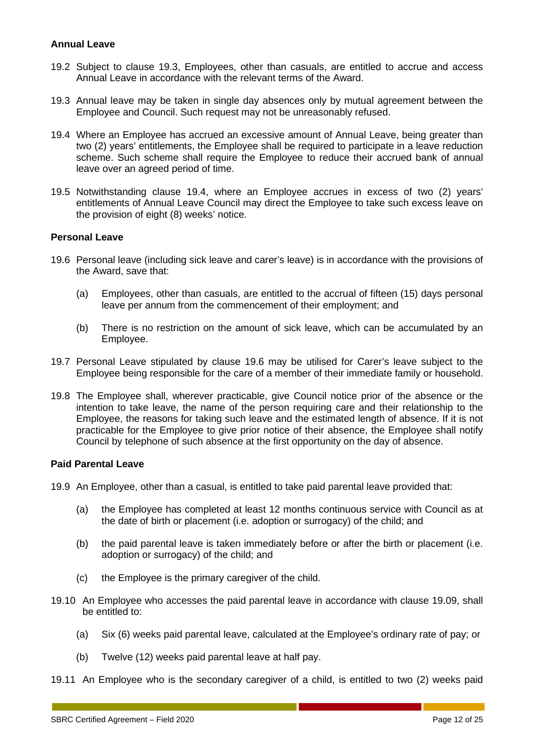#### **Annual Leave**

- 19.2 Subject to clause 19.3, Employees, other than casuals, are entitled to accrue and access Annual Leave in accordance with the relevant terms of the Award.
- 19.3 Annual leave may be taken in single day absences only by mutual agreement between the Employee and Council. Such request may not be unreasonably refused.
- 19.4 Where an Employee has accrued an excessive amount of Annual Leave, being greater than two (2) years' entitlements, the Employee shall be required to participate in a leave reduction scheme. Such scheme shall require the Employee to reduce their accrued bank of annual leave over an agreed period of time.
- 19.5 Notwithstanding clause 19.4, where an Employee accrues in excess of two (2) years' entitlements of Annual Leave Council may direct the Employee to take such excess leave on the provision of eight (8) weeks' notice.

#### **Personal Leave**

- 19.6 Personal leave (including sick leave and carer's leave) is in accordance with the provisions of the Award, save that:
	- (a) Employees, other than casuals, are entitled to the accrual of fifteen (15) days personal leave per annum from the commencement of their employment; and
	- (b) There is no restriction on the amount of sick leave, which can be accumulated by an Employee.
- 19.7 Personal Leave stipulated by clause 19.6 may be utilised for Carer's leave subject to the Employee being responsible for the care of a member of their immediate family or household.
- 19.8 The Employee shall, wherever practicable, give Council notice prior of the absence or the intention to take leave, the name of the person requiring care and their relationship to the Employee, the reasons for taking such leave and the estimated length of absence. If it is not practicable for the Employee to give prior notice of their absence, the Employee shall notify Council by telephone of such absence at the first opportunity on the day of absence.

#### **Paid Parental Leave**

- 19.9 An Employee, other than a casual, is entitled to take paid parental leave provided that:
	- (a) the Employee has completed at least 12 months continuous service with Council as at the date of birth or placement (i.e. adoption or surrogacy) of the child; and
	- (b) the paid parental leave is taken immediately before or after the birth or placement (i.e. adoption or surrogacy) of the child; and
	- (c) the Employee is the primary caregiver of the child.
- 19.10 An Employee who accesses the paid parental leave in accordance with clause 19.09, shall be entitled to:
	- (a) Six (6) weeks paid parental leave, calculated at the Employee's ordinary rate of pay; or
	- (b) Twelve (12) weeks paid parental leave at half pay.
- 19.11 An Employee who is the secondary caregiver of a child, is entitled to two (2) weeks paid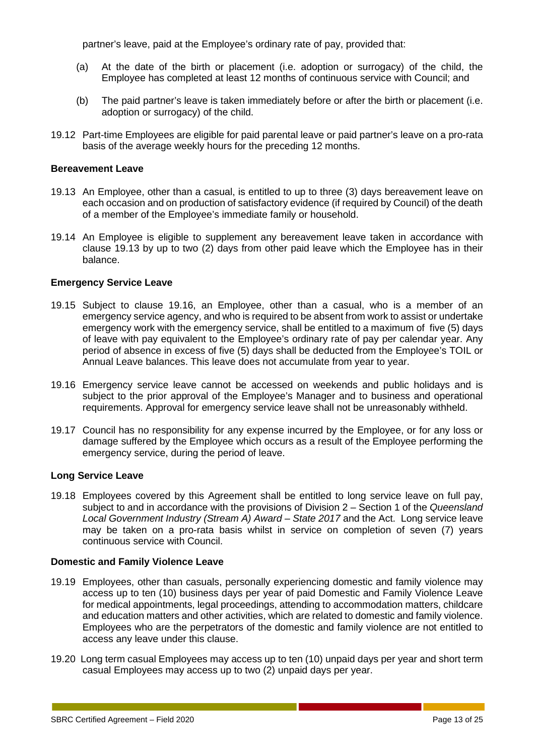partner's leave, paid at the Employee's ordinary rate of pay, provided that:

- (a) At the date of the birth or placement (i.e. adoption or surrogacy) of the child, the Employee has completed at least 12 months of continuous service with Council; and
- (b) The paid partner's leave is taken immediately before or after the birth or placement (i.e. adoption or surrogacy) of the child.
- 19.12 Part-time Employees are eligible for paid parental leave or paid partner's leave on a pro-rata basis of the average weekly hours for the preceding 12 months.

#### **Bereavement Leave**

- 19.13 An Employee, other than a casual, is entitled to up to three (3) days bereavement leave on each occasion and on production of satisfactory evidence (if required by Council) of the death of a member of the Employee's immediate family or household.
- 19.14 An Employee is eligible to supplement any bereavement leave taken in accordance with clause 19.13 by up to two (2) days from other paid leave which the Employee has in their balance.

#### **Emergency Service Leave**

- 19.15 Subject to clause 19.16, an Employee, other than a casual, who is a member of an emergency service agency, and who is required to be absent from work to assist or undertake emergency work with the emergency service, shall be entitled to a maximum of five (5) days of leave with pay equivalent to the Employee's ordinary rate of pay per calendar year. Any period of absence in excess of five (5) days shall be deducted from the Employee's TOIL or Annual Leave balances. This leave does not accumulate from year to year.
- 19.16 Emergency service leave cannot be accessed on weekends and public holidays and is subject to the prior approval of the Employee's Manager and to business and operational requirements. Approval for emergency service leave shall not be unreasonably withheld.
- 19.17 Council has no responsibility for any expense incurred by the Employee, or for any loss or damage suffered by the Employee which occurs as a result of the Employee performing the emergency service, during the period of leave.

#### **Long Service Leave**

19.18 Employees covered by this Agreement shall be entitled to long service leave on full pay, subject to and in accordance with the provisions of Division 2 – Section 1 of the *Queensland Local Government Industry (Stream A) Award – State 2017* and the Act. Long service leave may be taken on a pro-rata basis whilst in service on completion of seven (7) years continuous service with Council.

#### **Domestic and Family Violence Leave**

- 19.19 Employees, other than casuals, personally experiencing domestic and family violence may access up to ten (10) business days per year of paid Domestic and Family Violence Leave for medical appointments, legal proceedings, attending to accommodation matters, childcare and education matters and other activities, which are related to domestic and family violence. Employees who are the perpetrators of the domestic and family violence are not entitled to access any leave under this clause.
- 19.20 Long term casual Employees may access up to ten (10) unpaid days per year and short term casual Employees may access up to two (2) unpaid days per year.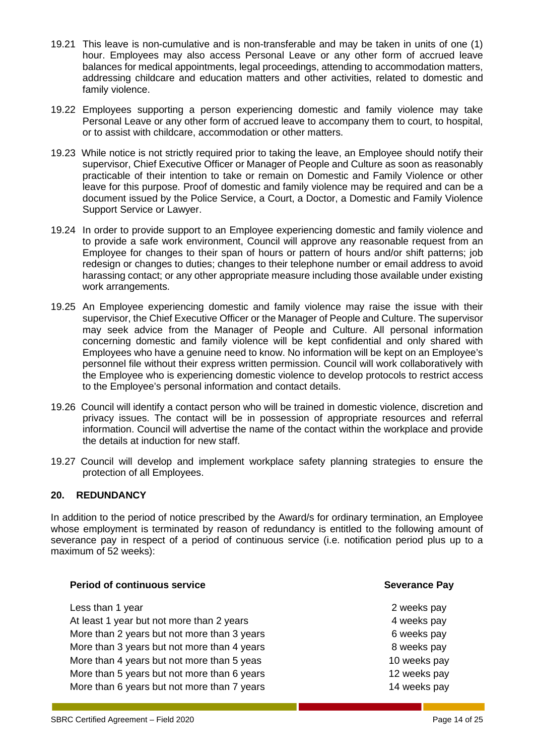- 19.21 This leave is non-cumulative and is non-transferable and may be taken in units of one (1) hour. Employees may also access Personal Leave or any other form of accrued leave balances for medical appointments, legal proceedings, attending to accommodation matters, addressing childcare and education matters and other activities, related to domestic and family violence.
- 19.22 Employees supporting a person experiencing domestic and family violence may take Personal Leave or any other form of accrued leave to accompany them to court, to hospital, or to assist with childcare, accommodation or other matters.
- 19.23 While notice is not strictly required prior to taking the leave, an Employee should notify their supervisor, Chief Executive Officer or Manager of People and Culture as soon as reasonably practicable of their intention to take or remain on Domestic and Family Violence or other leave for this purpose. Proof of domestic and family violence may be required and can be a document issued by the Police Service, a Court, a Doctor, a Domestic and Family Violence Support Service or Lawyer.
- 19.24 In order to provide support to an Employee experiencing domestic and family violence and to provide a safe work environment, Council will approve any reasonable request from an Employee for changes to their span of hours or pattern of hours and/or shift patterns; job redesign or changes to duties; changes to their telephone number or email address to avoid harassing contact; or any other appropriate measure including those available under existing work arrangements.
- 19.25 An Employee experiencing domestic and family violence may raise the issue with their supervisor, the Chief Executive Officer or the Manager of People and Culture. The supervisor may seek advice from the Manager of People and Culture. All personal information concerning domestic and family violence will be kept confidential and only shared with Employees who have a genuine need to know. No information will be kept on an Employee's personnel file without their express written permission. Council will work collaboratively with the Employee who is experiencing domestic violence to develop protocols to restrict access to the Employee's personal information and contact details.
- 19.26 Council will identify a contact person who will be trained in domestic violence, discretion and privacy issues. The contact will be in possession of appropriate resources and referral information. Council will advertise the name of the contact within the workplace and provide the details at induction for new staff.
- 19.27 Council will develop and implement workplace safety planning strategies to ensure the protection of all Employees.

#### <span id="page-15-0"></span>**20. REDUNDANCY**

In addition to the period of notice prescribed by the Award/s for ordinary termination, an Employee whose employment is terminated by reason of redundancy is entitled to the following amount of severance pay in respect of a period of continuous service (i.e. notification period plus up to a maximum of 52 weeks):

#### **Period of continuous service Severance Pay**

Less than 1 year 2 weeks pay At least 1 year but not more than 2 years **4** weeks pay More than 2 years but not more than 3 years **6** weeks pay More than 3 years but not more than 4 years **8** weeks pay More than 4 years but not more than 5 yeas 10 weeks pay More than 5 years but not more than 6 years 12 weeks pay More than 6 years but not more than 7 years 14 weeks pay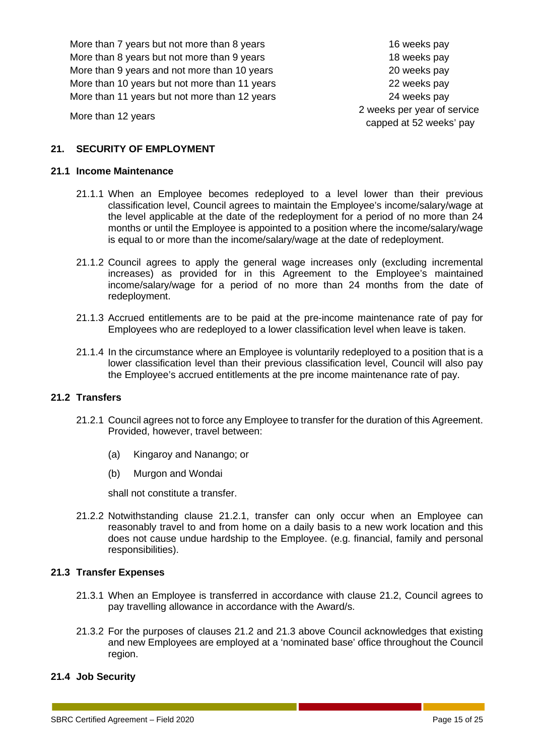More than 7 years but not more than 8 years 16 weeks pay More than 8 years but not more than 9 years 18 weeks pay More than 9 years and not more than 10 years 20 weeks pay More than 10 years but not more than 11 years 22 weeks pay More than 11 years but not more than 12 years 24 weeks pay

More than 12 years 2 weeks per year of service capped at 52 weeks' pay

### <span id="page-16-0"></span>**21. SECURITY OF EMPLOYMENT**

#### **21.1 Income Maintenance**

- 21.1.1 When an Employee becomes redeployed to a level lower than their previous classification level, Council agrees to maintain the Employee's income/salary/wage at the level applicable at the date of the redeployment for a period of no more than 24 months or until the Employee is appointed to a position where the income/salary/wage is equal to or more than the income/salary/wage at the date of redeployment.
- 21.1.2 Council agrees to apply the general wage increases only (excluding incremental increases) as provided for in this Agreement to the Employee's maintained income/salary/wage for a period of no more than 24 months from the date of redeployment.
- 21.1.3 Accrued entitlements are to be paid at the pre-income maintenance rate of pay for Employees who are redeployed to a lower classification level when leave is taken.
- 21.1.4 In the circumstance where an Employee is voluntarily redeployed to a position that is a lower classification level than their previous classification level, Council will also pay the Employee's accrued entitlements at the pre income maintenance rate of pay.

#### **21.2 Transfers**

- 21.2.1 Council agrees not to force any Employee to transfer for the duration of this Agreement. Provided, however, travel between:
	- (a) Kingaroy and Nanango; or
	- (b) Murgon and Wondai

shall not constitute a transfer.

21.2.2 Notwithstanding clause 21.2.1, transfer can only occur when an Employee can reasonably travel to and from home on a daily basis to a new work location and this does not cause undue hardship to the Employee. (e.g. financial, family and personal responsibilities).

#### **21.3 Transfer Expenses**

- 21.3.1 When an Employee is transferred in accordance with clause 21.2, Council agrees to pay travelling allowance in accordance with the Award/s.
- 21.3.2 For the purposes of clauses 21.2 and 21.3 above Council acknowledges that existing and new Employees are employed at a 'nominated base' office throughout the Council region.

#### **21.4 Job Security**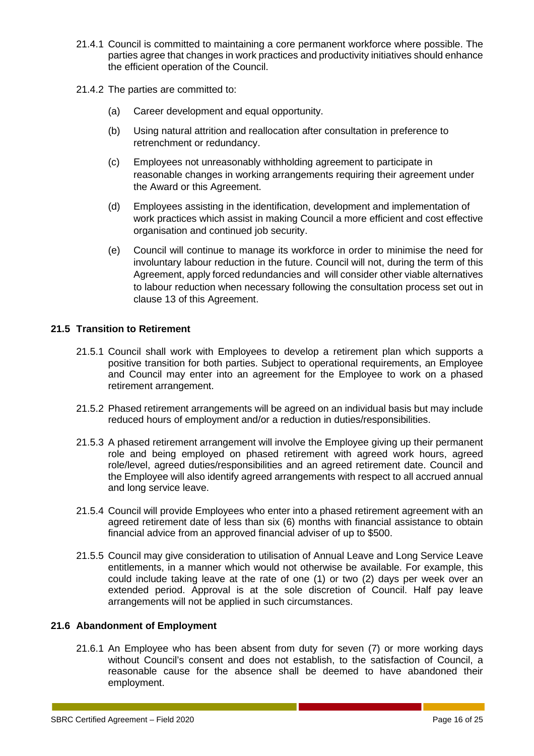- 21.4.1 Council is committed to maintaining a core permanent workforce where possible. The parties agree that changes in work practices and productivity initiatives should enhance the efficient operation of the Council.
- 21.4.2 The parties are committed to:
	- (a) Career development and equal opportunity.
	- (b) Using natural attrition and reallocation after consultation in preference to retrenchment or redundancy.
	- (c) Employees not unreasonably withholding agreement to participate in reasonable changes in working arrangements requiring their agreement under the Award or this Agreement.
	- (d) Employees assisting in the identification, development and implementation of work practices which assist in making Council a more efficient and cost effective organisation and continued job security.
	- (e) Council will continue to manage its workforce in order to minimise the need for involuntary labour reduction in the future. Council will not, during the term of this Agreement, apply forced redundancies and will consider other viable alternatives to labour reduction when necessary following the consultation process set out in clause 13 of this Agreement.

#### **21.5 Transition to Retirement**

- 21.5.1 Council shall work with Employees to develop a retirement plan which supports a positive transition for both parties. Subject to operational requirements, an Employee and Council may enter into an agreement for the Employee to work on a phased retirement arrangement.
- 21.5.2 Phased retirement arrangements will be agreed on an individual basis but may include reduced hours of employment and/or a reduction in duties/responsibilities.
- 21.5.3 A phased retirement arrangement will involve the Employee giving up their permanent role and being employed on phased retirement with agreed work hours, agreed role/level, agreed duties/responsibilities and an agreed retirement date. Council and the Employee will also identify agreed arrangements with respect to all accrued annual and long service leave.
- 21.5.4 Council will provide Employees who enter into a phased retirement agreement with an agreed retirement date of less than six (6) months with financial assistance to obtain financial advice from an approved financial adviser of up to \$500.
- 21.5.5 Council may give consideration to utilisation of Annual Leave and Long Service Leave entitlements, in a manner which would not otherwise be available. For example, this could include taking leave at the rate of one (1) or two (2) days per week over an extended period. Approval is at the sole discretion of Council. Half pay leave arrangements will not be applied in such circumstances.

#### **21.6 Abandonment of Employment**

21.6.1 An Employee who has been absent from duty for seven (7) or more working days without Council's consent and does not establish, to the satisfaction of Council, a reasonable cause for the absence shall be deemed to have abandoned their employment.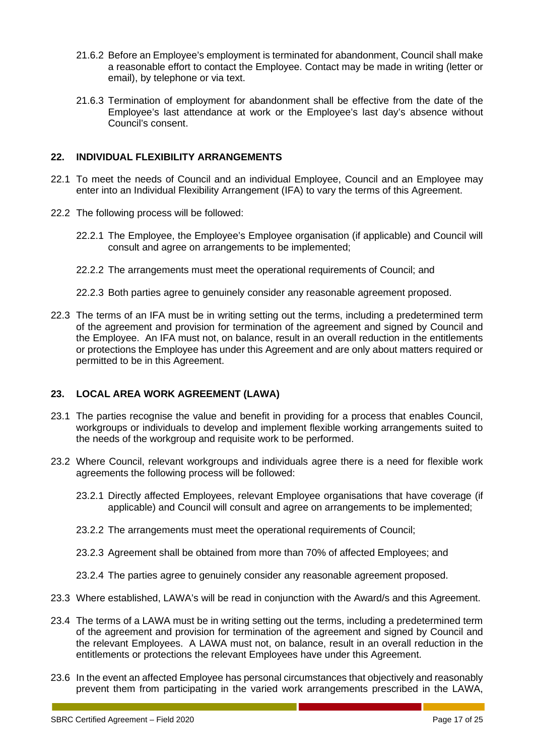- 21.6.2 Before an Employee's employment is terminated for abandonment, Council shall make a reasonable effort to contact the Employee. Contact may be made in writing (letter or email), by telephone or via text.
- 21.6.3 Termination of employment for abandonment shall be effective from the date of the Employee's last attendance at work or the Employee's last day's absence without Council's consent.

#### <span id="page-18-0"></span>**22. INDIVIDUAL FLEXIBILITY ARRANGEMENTS**

- 22.1 To meet the needs of Council and an individual Employee, Council and an Employee may enter into an Individual Flexibility Arrangement (IFA) to vary the terms of this Agreement.
- 22.2 The following process will be followed:
	- 22.2.1 The Employee, the Employee's Employee organisation (if applicable) and Council will consult and agree on arrangements to be implemented;
	- 22.2.2 The arrangements must meet the operational requirements of Council; and
	- 22.2.3 Both parties agree to genuinely consider any reasonable agreement proposed.
- 22.3 The terms of an IFA must be in writing setting out the terms, including a predetermined term of the agreement and provision for termination of the agreement and signed by Council and the Employee. An IFA must not, on balance, result in an overall reduction in the entitlements or protections the Employee has under this Agreement and are only about matters required or permitted to be in this Agreement.

#### <span id="page-18-1"></span>**23. LOCAL AREA WORK AGREEMENT (LAWA)**

- 23.1 The parties recognise the value and benefit in providing for a process that enables Council, workgroups or individuals to develop and implement flexible working arrangements suited to the needs of the workgroup and requisite work to be performed.
- 23.2 Where Council, relevant workgroups and individuals agree there is a need for flexible work agreements the following process will be followed:
	- 23.2.1 Directly affected Employees, relevant Employee organisations that have coverage (if applicable) and Council will consult and agree on arrangements to be implemented;
	- 23.2.2 The arrangements must meet the operational requirements of Council;
	- 23.2.3 Agreement shall be obtained from more than 70% of affected Employees; and
	- 23.2.4 The parties agree to genuinely consider any reasonable agreement proposed.
- 23.3 Where established, LAWA's will be read in conjunction with the Award/s and this Agreement.
- 23.4 The terms of a LAWA must be in writing setting out the terms, including a predetermined term of the agreement and provision for termination of the agreement and signed by Council and the relevant Employees. A LAWA must not, on balance, result in an overall reduction in the entitlements or protections the relevant Employees have under this Agreement.
- 23.6 In the event an affected Employee has personal circumstances that objectively and reasonably prevent them from participating in the varied work arrangements prescribed in the LAWA,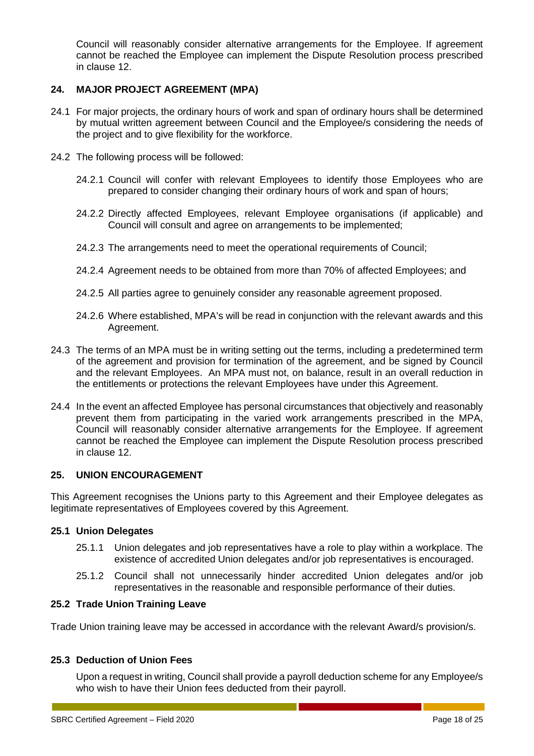Council will reasonably consider alternative arrangements for the Employee. If agreement cannot be reached the Employee can implement the Dispute Resolution process prescribed in clause 12.

#### <span id="page-19-0"></span>**24. MAJOR PROJECT AGREEMENT (MPA)**

- 24.1 For major projects, the ordinary hours of work and span of ordinary hours shall be determined by mutual written agreement between Council and the Employee/s considering the needs of the project and to give flexibility for the workforce.
- 24.2 The following process will be followed:
	- 24.2.1 Council will confer with relevant Employees to identify those Employees who are prepared to consider changing their ordinary hours of work and span of hours;
	- 24.2.2 Directly affected Employees, relevant Employee organisations (if applicable) and Council will consult and agree on arrangements to be implemented;
	- 24.2.3 The arrangements need to meet the operational requirements of Council;
	- 24.2.4 Agreement needs to be obtained from more than 70% of affected Employees; and
	- 24.2.5 All parties agree to genuinely consider any reasonable agreement proposed.
	- 24.2.6 Where established, MPA's will be read in conjunction with the relevant awards and this Agreement.
- 24.3 The terms of an MPA must be in writing setting out the terms, including a predetermined term of the agreement and provision for termination of the agreement, and be signed by Council and the relevant Employees. An MPA must not, on balance, result in an overall reduction in the entitlements or protections the relevant Employees have under this Agreement.
- 24.4 In the event an affected Employee has personal circumstances that objectively and reasonably prevent them from participating in the varied work arrangements prescribed in the MPA, Council will reasonably consider alternative arrangements for the Employee. If agreement cannot be reached the Employee can implement the Dispute Resolution process prescribed in clause 12.

#### <span id="page-19-1"></span>**25. UNION ENCOURAGEMENT**

This Agreement recognises the Unions party to this Agreement and their Employee delegates as legitimate representatives of Employees covered by this Agreement.

#### **25.1 Union Delegates**

- 25.1.1 Union delegates and job representatives have a role to play within a workplace. The existence of accredited Union delegates and/or job representatives is encouraged.
- 25.1.2 Council shall not unnecessarily hinder accredited Union delegates and/or job representatives in the reasonable and responsible performance of their duties.

#### **25.2 Trade Union Training Leave**

Trade Union training leave may be accessed in accordance with the relevant Award/s provision/s.

#### **25.3 Deduction of Union Fees**

Upon a request in writing, Council shall provide a payroll deduction scheme for any Employee/s who wish to have their Union fees deducted from their payroll.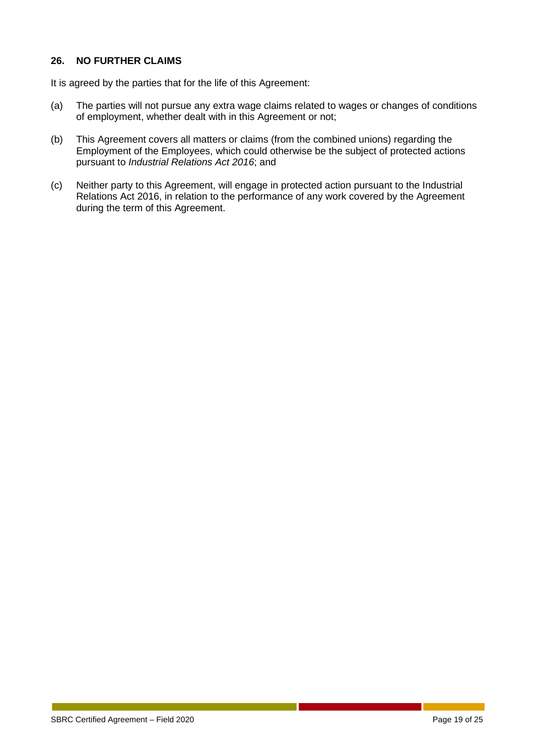#### <span id="page-20-0"></span>**26. NO FURTHER CLAIMS**

It is agreed by the parties that for the life of this Agreement:

- (a) The parties will not pursue any extra wage claims related to wages or changes of conditions of employment, whether dealt with in this Agreement or not;
- (b) This Agreement covers all matters or claims (from the combined unions) regarding the Employment of the Employees, which could otherwise be the subject of protected actions pursuant to *Industrial Relations Act 2016*; and
- (c) Neither party to this Agreement, will engage in protected action pursuant to the Industrial Relations Act 2016, in relation to the performance of any work covered by the Agreement during the term of this Agreement.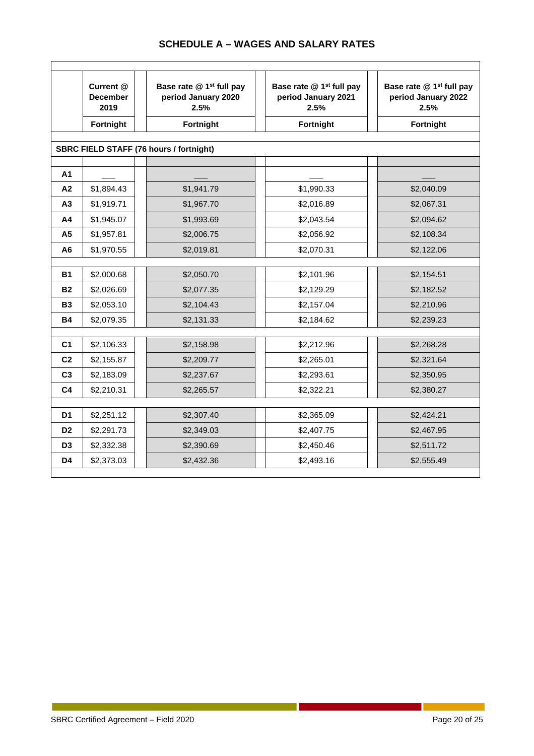|                | Current @<br><b>December</b><br>2019 | Base rate @ 1 <sup>st</sup> full pay<br>period January 2020<br>2.5% | Base rate @ 1 <sup>st</sup> full pay<br>period January 2021<br>2.5% | Base rate @ 1 <sup>st</sup> full pay<br>period January 2022<br>2.5% |
|----------------|--------------------------------------|---------------------------------------------------------------------|---------------------------------------------------------------------|---------------------------------------------------------------------|
|                | Fortnight                            | Fortnight                                                           | Fortnight                                                           | <b>Fortnight</b>                                                    |
|                |                                      |                                                                     |                                                                     |                                                                     |
|                |                                      | <b>SBRC FIELD STAFF (76 hours / fortnight)</b>                      |                                                                     |                                                                     |
| A1             |                                      |                                                                     |                                                                     |                                                                     |
| A2             | \$1,894.43                           | \$1,941.79                                                          | \$1,990.33                                                          | \$2,040.09                                                          |
| A3             | \$1,919.71                           | \$1,967.70                                                          | \$2,016.89                                                          | \$2,067.31                                                          |
| A4             | \$1,945.07                           | \$1,993.69                                                          | \$2,043.54                                                          | \$2,094.62                                                          |
| A <sub>5</sub> | \$1,957.81                           | \$2,006.75                                                          | \$2,056.92                                                          | \$2,108.34                                                          |
| A <sub>6</sub> | \$1,970.55                           | \$2,019.81                                                          | \$2,070.31                                                          | \$2,122.06                                                          |
|                |                                      |                                                                     |                                                                     |                                                                     |
| <b>B1</b>      | \$2,000.68                           | \$2,050.70                                                          | \$2,101.96                                                          | \$2,154.51                                                          |
| <b>B2</b>      | \$2,026.69                           | \$2,077.35                                                          | \$2,129.29                                                          | \$2,182.52                                                          |
| <b>B3</b>      | \$2,053.10                           | \$2,104.43                                                          | \$2,157.04                                                          | \$2,210.96                                                          |
| <b>B4</b>      | \$2,079.35                           | \$2,131.33                                                          | \$2,184.62                                                          | \$2,239.23                                                          |
|                |                                      |                                                                     |                                                                     |                                                                     |
| C <sub>1</sub> | \$2,106.33                           | \$2,158.98                                                          | \$2,212.96                                                          | \$2,268.28                                                          |
| C <sub>2</sub> | \$2,155.87                           | \$2,209.77                                                          | \$2,265.01                                                          | \$2,321.64                                                          |
| C <sub>3</sub> | \$2,183.09                           | \$2,237.67                                                          | \$2,293.61                                                          | \$2,350.95                                                          |
| C <sub>4</sub> | \$2,210.31                           | \$2,265.57                                                          | \$2,322.21                                                          | \$2,380.27                                                          |
|                |                                      |                                                                     |                                                                     |                                                                     |
| D <sub>1</sub> | \$2,251.12                           | \$2,307.40                                                          | \$2,365.09                                                          | \$2,424.21                                                          |
| D <sub>2</sub> | \$2,291.73                           | \$2,349.03                                                          | \$2,407.75                                                          | \$2,467.95                                                          |
| D <sub>3</sub> | \$2,332.38                           | \$2,390.69                                                          | \$2,450.46                                                          | \$2,511.72                                                          |
| D4             | \$2,373.03                           | \$2,432.36                                                          | \$2,493.16                                                          | \$2,555.49                                                          |

### **SCHEDULE A – WAGES AND SALARY RATES**

Г

 $\mathbb{R}^n$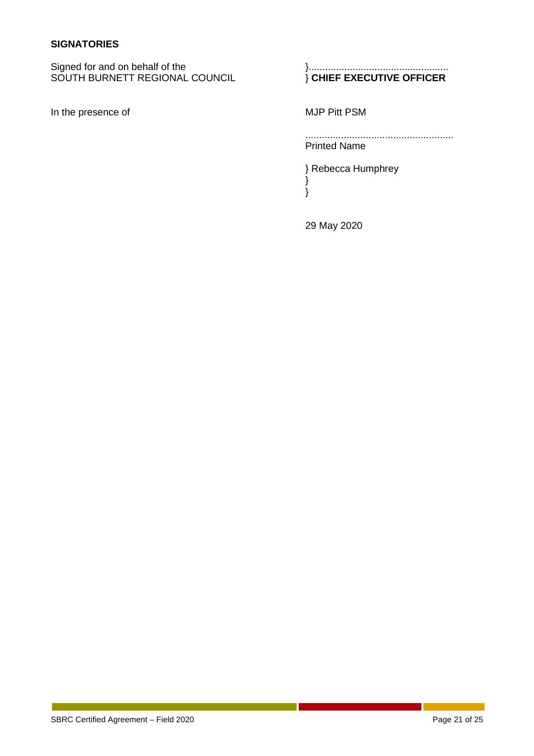#### **SIGNATORIES**

Signed for and on behalf of the <br>SOUTH BURNETT REGIONAL COUNCIL  $\}$  CHIEF EXECUTIVE OFFICER SOUTH BURNETT REGIONAL COUNCIL

In the presence of MJP Pitt PSM

...................................................... Printed Name

} Rebecca Humphrey }

29 May 2020

}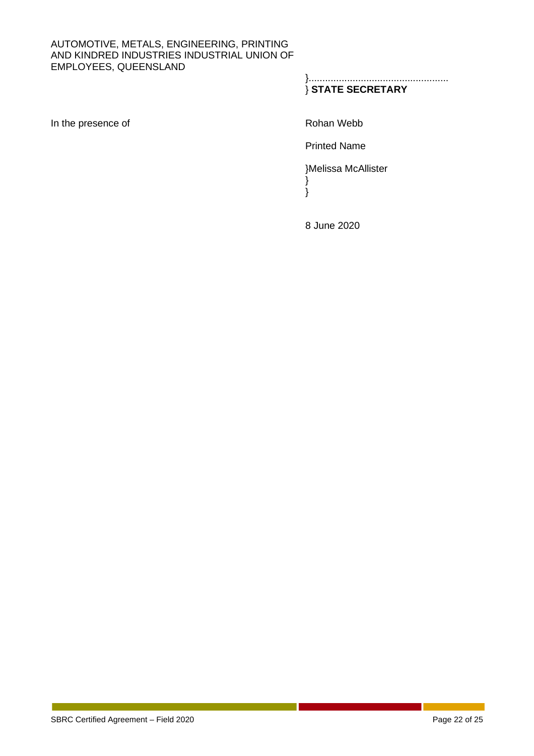#### AUTOMOTIVE, METALS, ENGINEERING, PRINTING AND KINDRED INDUSTRIES INDUSTRIAL UNION OF EMPLOYEES, QUEENSLAND

}................................................... } **STATE SECRETARY**

In the presence of Rohan Webb

Printed Name

}Melissa McAllister } }

8 June 2020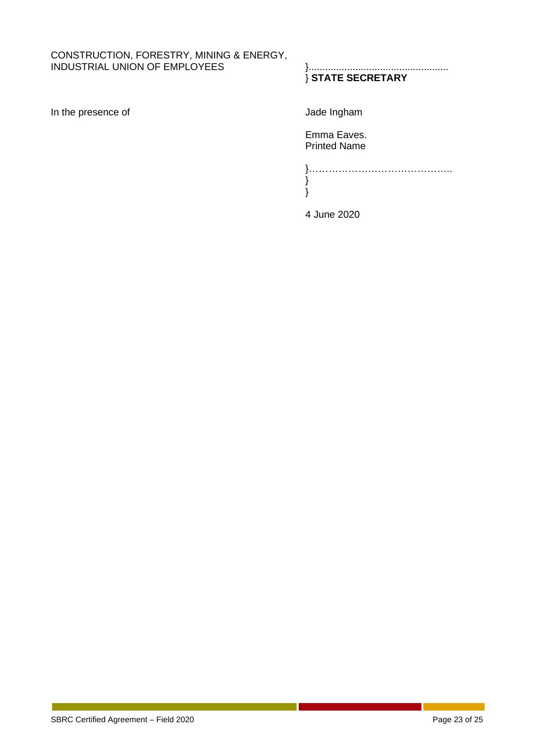#### CONSTRUCTION, FORESTRY, MINING & ENERGY, INDUSTRIAL UNION OF EMPLOYEES }...................................................

In the presence of  $J$ ade Ingham

## } **STATE SECRETARY**

Emma Eaves. Printed Name

}…………………………………….. } }

4 June 2020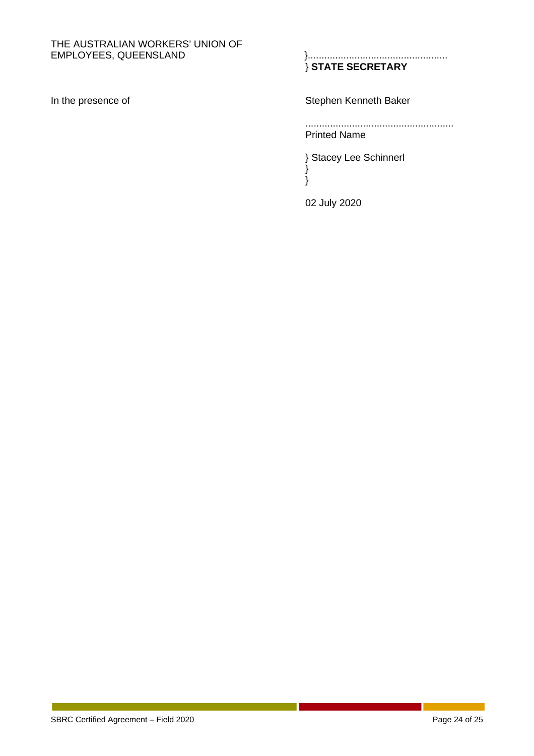# THE AUSTRALIAN WORKERS' UNION OF EMPLOYEES, QUEENSLAND

EMPLOYEES, QUEENSLAND }................................................... } **STATE SECRETARY**

In the presence of Stephen Kenneth Baker

...................................................... Printed Name

} Stacey Lee Schinnerl } }

02 July 2020